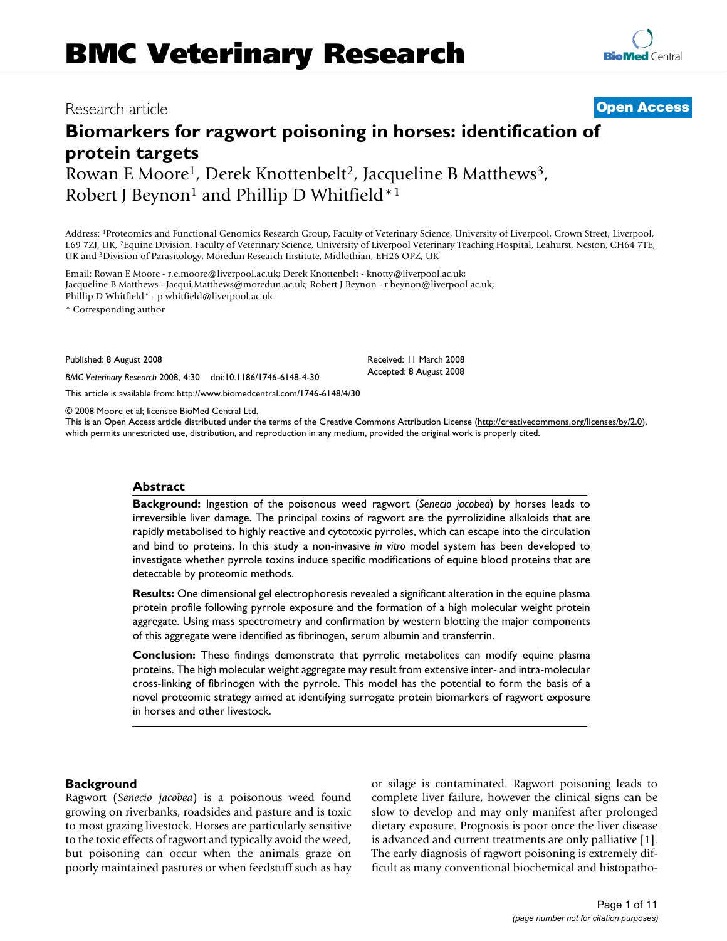# Research article **[Open Access](http://www.biomedcentral.com/info/about/charter/)**

# **Biomarkers for ragwort poisoning in horses: identification of protein targets** Rowan E Moore<sup>1</sup>, Derek Knottenbelt<sup>2</sup>, Jacqueline B Matthews<sup>3</sup>,

Robert J Beynon<sup>1</sup> and Phillip D Whitfield<sup>\*1</sup>

Address: 1Proteomics and Functional Genomics Research Group, Faculty of Veterinary Science, University of Liverpool, Crown Street, Liverpool, L69 7ZJ, UK, 2Equine Division, Faculty of Veterinary Science, University of Liverpool Veterinary Teaching Hospital, Leahurst, Neston, CH64 7TE, UK and 3Division of Parasitology, Moredun Research Institute, Midlothian, EH26 OPZ, UK

Email: Rowan E Moore - r.e.moore@liverpool.ac.uk; Derek Knottenbelt - knotty@liverpool.ac.uk; Jacqueline B Matthews - Jacqui.Matthews@moredun.ac.uk; Robert J Beynon - r.beynon@liverpool.ac.uk; Phillip D Whitfield\* - p.whitfield@liverpool.ac.uk

\* Corresponding author

Published: 8 August 2008

*BMC Veterinary Research* 2008, **4**:30 doi:10.1186/1746-6148-4-30

[This article is available from: http://www.biomedcentral.com/1746-6148/4/30](http://www.biomedcentral.com/1746-6148/4/30)

© 2008 Moore et al; licensee BioMed Central Ltd.

This is an Open Access article distributed under the terms of the Creative Commons Attribution License [\(http://creativecommons.org/licenses/by/2.0\)](http://creativecommons.org/licenses/by/2.0), which permits unrestricted use, distribution, and reproduction in any medium, provided the original work is properly cited.

Received: 11 March 2008 Accepted: 8 August 2008

#### **Abstract**

**Background:** Ingestion of the poisonous weed ragwort (*Senecio jacobea*) by horses leads to irreversible liver damage. The principal toxins of ragwort are the pyrrolizidine alkaloids that are rapidly metabolised to highly reactive and cytotoxic pyrroles, which can escape into the circulation and bind to proteins. In this study a non-invasive *in vitro* model system has been developed to investigate whether pyrrole toxins induce specific modifications of equine blood proteins that are detectable by proteomic methods.

**Results:** One dimensional gel electrophoresis revealed a significant alteration in the equine plasma protein profile following pyrrole exposure and the formation of a high molecular weight protein aggregate. Using mass spectrometry and confirmation by western blotting the major components of this aggregate were identified as fibrinogen, serum albumin and transferrin.

**Conclusion:** These findings demonstrate that pyrrolic metabolites can modify equine plasma proteins. The high molecular weight aggregate may result from extensive inter- and intra-molecular cross-linking of fibrinogen with the pyrrole. This model has the potential to form the basis of a novel proteomic strategy aimed at identifying surrogate protein biomarkers of ragwort exposure in horses and other livestock.

## **Background**

Ragwort (*Senecio jacobea*) is a poisonous weed found growing on riverbanks, roadsides and pasture and is toxic to most grazing livestock. Horses are particularly sensitive to the toxic effects of ragwort and typically avoid the weed, but poisoning can occur when the animals graze on poorly maintained pastures or when feedstuff such as hay or silage is contaminated. Ragwort poisoning leads to complete liver failure, however the clinical signs can be slow to develop and may only manifest after prolonged dietary exposure. Prognosis is poor once the liver disease is advanced and current treatments are only palliative [1]. The early diagnosis of ragwort poisoning is extremely difficult as many conventional biochemical and histopatho-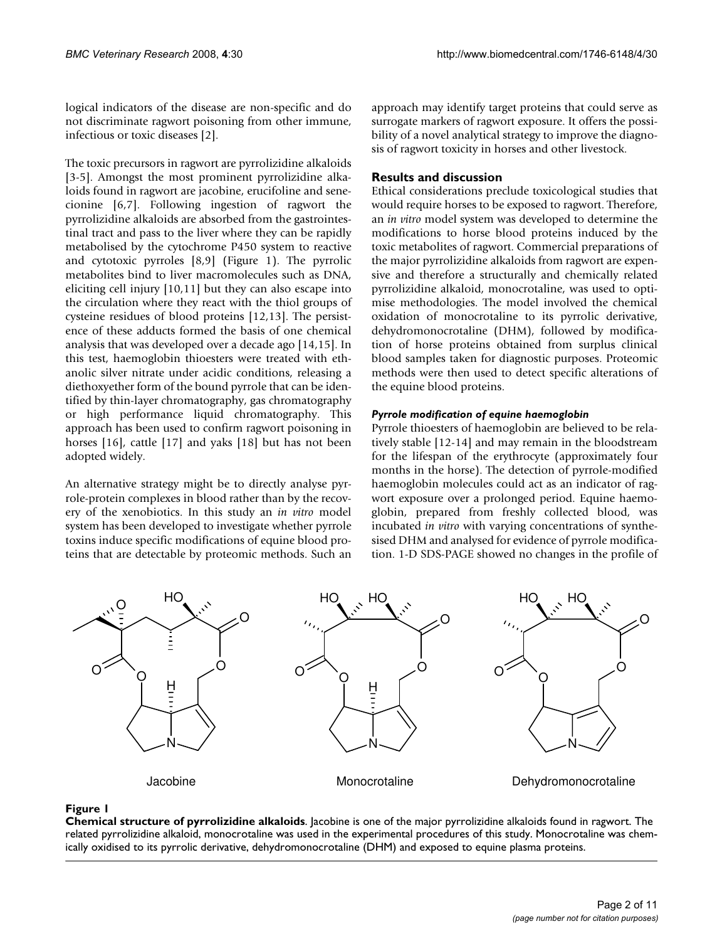logical indicators of the disease are non-specific and do not discriminate ragwort poisoning from other immune, infectious or toxic diseases [2].

The toxic precursors in ragwort are pyrrolizidine alkaloids [3-5]. Amongst the most prominent pyrrolizidine alkaloids found in ragwort are jacobine, erucifoline and senecionine [6,7]. Following ingestion of ragwort the pyrrolizidine alkaloids are absorbed from the gastrointestinal tract and pass to the liver where they can be rapidly metabolised by the cytochrome P450 system to reactive and cytotoxic pyrroles [8,9] (Figure 1). The pyrrolic metabolites bind to liver macromolecules such as DNA, eliciting cell injury [10,11] but they can also escape into the circulation where they react with the thiol groups of cysteine residues of blood proteins [12,13]. The persistence of these adducts formed the basis of one chemical analysis that was developed over a decade ago [14,15]. In this test, haemoglobin thioesters were treated with ethanolic silver nitrate under acidic conditions, releasing a diethoxyether form of the bound pyrrole that can be identified by thin-layer chromatography, gas chromatography or high performance liquid chromatography. This approach has been used to confirm ragwort poisoning in horses [16], cattle [17] and yaks [18] but has not been adopted widely.

An alternative strategy might be to directly analyse pyrrole-protein complexes in blood rather than by the recovery of the xenobiotics. In this study an *in vitro* model system has been developed to investigate whether pyrrole toxins induce specific modifications of equine blood proteins that are detectable by proteomic methods. Such an approach may identify target proteins that could serve as surrogate markers of ragwort exposure. It offers the possibility of a novel analytical strategy to improve the diagnosis of ragwort toxicity in horses and other livestock.

# **Results and discussion**

Ethical considerations preclude toxicological studies that would require horses to be exposed to ragwort. Therefore, an *in vitro* model system was developed to determine the modifications to horse blood proteins induced by the toxic metabolites of ragwort. Commercial preparations of the major pyrrolizidine alkaloids from ragwort are expensive and therefore a structurally and chemically related pyrrolizidine alkaloid, monocrotaline, was used to optimise methodologies. The model involved the chemical oxidation of monocrotaline to its pyrrolic derivative, dehydromonocrotaline (DHM), followed by modification of horse proteins obtained from surplus clinical blood samples taken for diagnostic purposes. Proteomic methods were then used to detect specific alterations of the equine blood proteins.

# *Pyrrole modification of equine haemoglobin*

Pyrrole thioesters of haemoglobin are believed to be relatively stable [12-14] and may remain in the bloodstream for the lifespan of the erythrocyte (approximately four months in the horse). The detection of pyrrole-modified haemoglobin molecules could act as an indicator of ragwort exposure over a prolonged period. Equine haemoglobin, prepared from freshly collected blood, was incubated *in vitro* with varying concentrations of synthesised DHM and analysed for evidence of pyrrole modification. 1-D SDS-PAGE showed no changes in the profile of



## Figure 1

**Chemical structure of pyrrolizidine alkaloids**. Jacobine is one of the major pyrrolizidine alkaloids found in ragwort. The related pyrrolizidine alkaloid, monocrotaline was used in the experimental procedures of this study. Monocrotaline was chemically oxidised to its pyrrolic derivative, dehydromonocrotaline (DHM) and exposed to equine plasma proteins.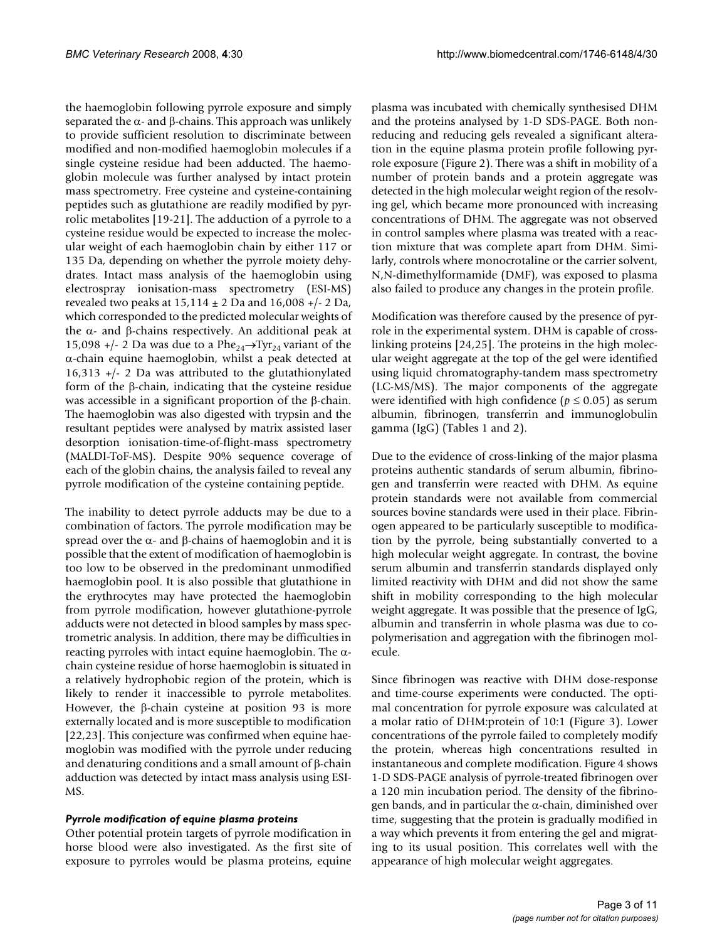the haemoglobin following pyrrole exposure and simply separated the  $\alpha$ - and  $\beta$ -chains. This approach was unlikely to provide sufficient resolution to discriminate between modified and non-modified haemoglobin molecules if a single cysteine residue had been adducted. The haemoglobin molecule was further analysed by intact protein mass spectrometry. Free cysteine and cysteine-containing peptides such as glutathione are readily modified by pyrrolic metabolites [19-21]. The adduction of a pyrrole to a cysteine residue would be expected to increase the molecular weight of each haemoglobin chain by either 117 or 135 Da, depending on whether the pyrrole moiety dehydrates. Intact mass analysis of the haemoglobin using electrospray ionisation-mass spectrometry (ESI-MS) revealed two peaks at  $15,114 \pm 2$  Da and  $16,008 +/-2$  Da, which corresponded to the predicted molecular weights of the  $α$ - and β-chains respectively. An additional peak at 15,098 +/- 2 Da was due to a Phe<sub>24</sub> $\rightarrow$ Tyr<sub>24</sub> variant of the α-chain equine haemoglobin, whilst a peak detected at 16,313 +/- 2 Da was attributed to the glutathionylated form of the β-chain, indicating that the cysteine residue was accessible in a significant proportion of the β-chain. The haemoglobin was also digested with trypsin and the resultant peptides were analysed by matrix assisted laser desorption ionisation-time-of-flight-mass spectrometry (MALDI-ToF-MS). Despite 90% sequence coverage of each of the globin chains, the analysis failed to reveal any pyrrole modification of the cysteine containing peptide.

The inability to detect pyrrole adducts may be due to a combination of factors. The pyrrole modification may be spread over the  $α$ - and  $β$ -chains of haemoglobin and it is possible that the extent of modification of haemoglobin is too low to be observed in the predominant unmodified haemoglobin pool. It is also possible that glutathione in the erythrocytes may have protected the haemoglobin from pyrrole modification, however glutathione-pyrrole adducts were not detected in blood samples by mass spectrometric analysis. In addition, there may be difficulties in reacting pyrroles with intact equine haemoglobin. The αchain cysteine residue of horse haemoglobin is situated in a relatively hydrophobic region of the protein, which is likely to render it inaccessible to pyrrole metabolites. However, the β-chain cysteine at position 93 is more externally located and is more susceptible to modification [22,23]. This conjecture was confirmed when equine haemoglobin was modified with the pyrrole under reducing and denaturing conditions and a small amount of  $\beta$ -chain adduction was detected by intact mass analysis using ESI-MS.

#### *Pyrrole modification of equine plasma proteins*

Other potential protein targets of pyrrole modification in horse blood were also investigated. As the first site of exposure to pyrroles would be plasma proteins, equine

plasma was incubated with chemically synthesised DHM and the proteins analysed by 1-D SDS-PAGE. Both nonreducing and reducing gels revealed a significant alteration in the equine plasma protein profile following pyrrole exposure (Figure 2). There was a shift in mobility of a number of protein bands and a protein aggregate was detected in the high molecular weight region of the resolving gel, which became more pronounced with increasing concentrations of DHM. The aggregate was not observed in control samples where plasma was treated with a reaction mixture that was complete apart from DHM. Similarly, controls where monocrotaline or the carrier solvent, N,N-dimethylformamide (DMF), was exposed to plasma also failed to produce any changes in the protein profile.

Modification was therefore caused by the presence of pyrrole in the experimental system. DHM is capable of crosslinking proteins [24,25]. The proteins in the high molecular weight aggregate at the top of the gel were identified using liquid chromatography-tandem mass spectrometry (LC-MS/MS). The major components of the aggregate were identified with high confidence ( $p \leq 0.05$ ) as serum albumin, fibrinogen, transferrin and immunoglobulin gamma (IgG) (Tables 1 and 2).

Due to the evidence of cross-linking of the major plasma proteins authentic standards of serum albumin, fibrinogen and transferrin were reacted with DHM. As equine protein standards were not available from commercial sources bovine standards were used in their place. Fibrinogen appeared to be particularly susceptible to modification by the pyrrole, being substantially converted to a high molecular weight aggregate. In contrast, the bovine serum albumin and transferrin standards displayed only limited reactivity with DHM and did not show the same shift in mobility corresponding to the high molecular weight aggregate. It was possible that the presence of IgG, albumin and transferrin in whole plasma was due to copolymerisation and aggregation with the fibrinogen molecule.

Since fibrinogen was reactive with DHM dose-response and time-course experiments were conducted. The optimal concentration for pyrrole exposure was calculated at a molar ratio of DHM:protein of 10:1 (Figure 3). Lower concentrations of the pyrrole failed to completely modify the protein, whereas high concentrations resulted in instantaneous and complete modification. Figure 4 shows 1-D SDS-PAGE analysis of pyrrole-treated fibrinogen over a 120 min incubation period. The density of the fibrinogen bands, and in particular the  $\alpha$ -chain, diminished over time, suggesting that the protein is gradually modified in a way which prevents it from entering the gel and migrating to its usual position. This correlates well with the appearance of high molecular weight aggregates.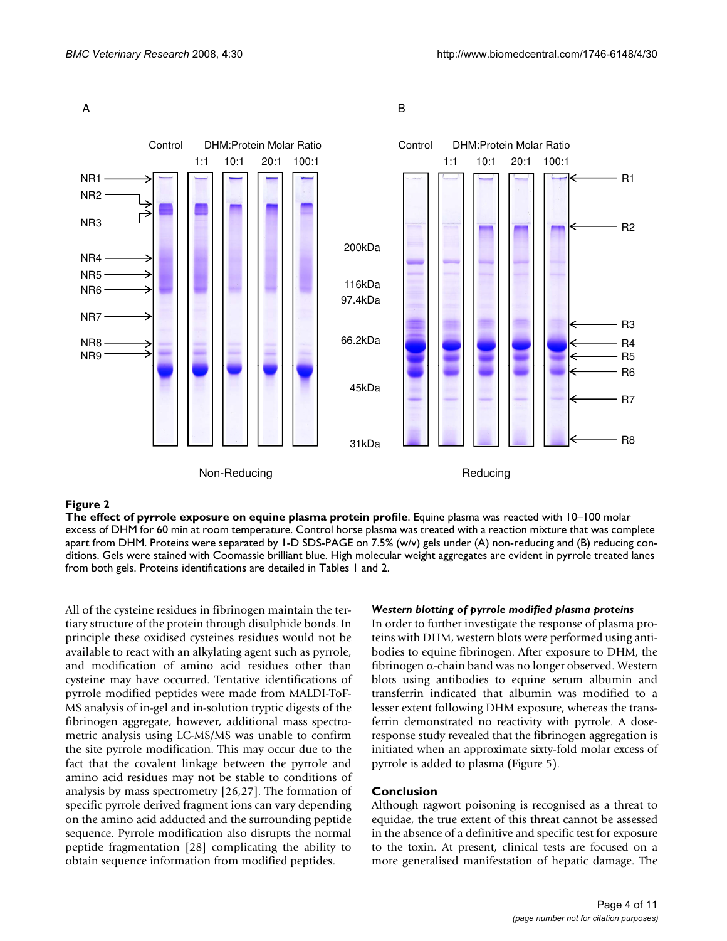

#### Figure 2

**The effect of pyrrole exposure on equine plasma protein profile**. Equine plasma was reacted with 10–100 molar excess of DHM for 60 min at room temperature. Control horse plasma was treated with a reaction mixture that was complete apart from DHM. Proteins were separated by 1-D SDS-PAGE on 7.5% (w/v) gels under (A) non-reducing and (B) reducing conditions. Gels were stained with Coomassie brilliant blue. High molecular weight aggregates are evident in pyrrole treated lanes from both gels. Proteins identifications are detailed in Tables 1 and 2.

All of the cysteine residues in fibrinogen maintain the tertiary structure of the protein through disulphide bonds. In principle these oxidised cysteines residues would not be available to react with an alkylating agent such as pyrrole, and modification of amino acid residues other than cysteine may have occurred. Tentative identifications of pyrrole modified peptides were made from MALDI-ToF-MS analysis of in-gel and in-solution tryptic digests of the fibrinogen aggregate, however, additional mass spectrometric analysis using LC-MS/MS was unable to confirm the site pyrrole modification. This may occur due to the fact that the covalent linkage between the pyrrole and amino acid residues may not be stable to conditions of analysis by mass spectrometry [26,27]. The formation of specific pyrrole derived fragment ions can vary depending on the amino acid adducted and the surrounding peptide sequence. Pyrrole modification also disrupts the normal peptide fragmentation [28] complicating the ability to obtain sequence information from modified peptides.

#### *Western blotting of pyrrole modified plasma proteins*

In order to further investigate the response of plasma proteins with DHM, western blots were performed using antibodies to equine fibrinogen. After exposure to DHM, the fibrinogen α-chain band was no longer observed. Western blots using antibodies to equine serum albumin and transferrin indicated that albumin was modified to a lesser extent following DHM exposure, whereas the transferrin demonstrated no reactivity with pyrrole. A doseresponse study revealed that the fibrinogen aggregation is initiated when an approximate sixty-fold molar excess of pyrrole is added to plasma (Figure 5).

#### **Conclusion**

Although ragwort poisoning is recognised as a threat to equidae, the true extent of this threat cannot be assessed in the absence of a definitive and specific test for exposure to the toxin. At present, clinical tests are focused on a more generalised manifestation of hepatic damage. The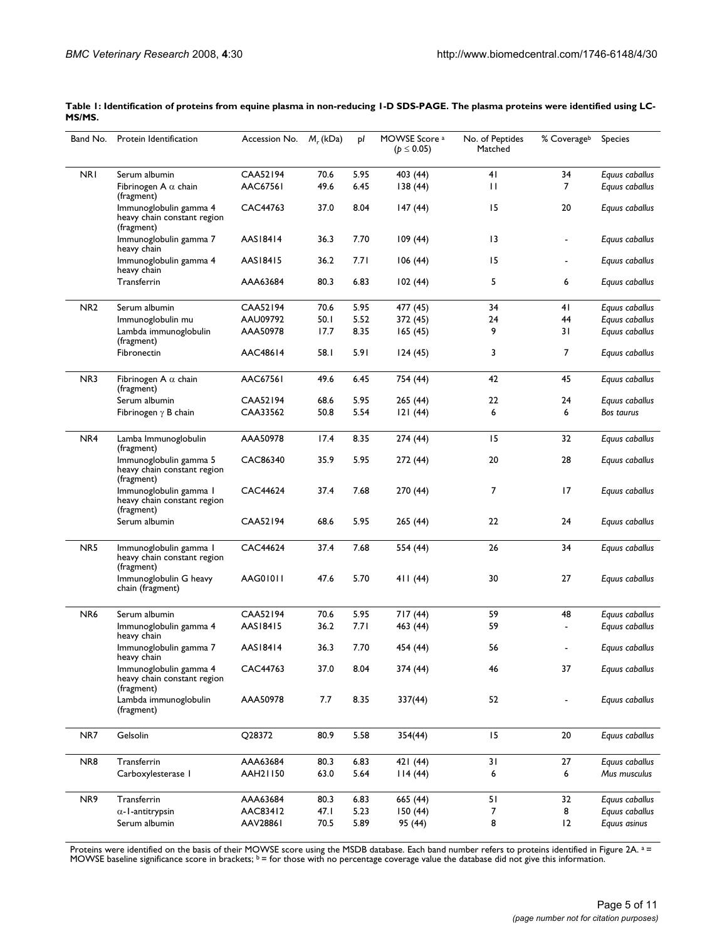| CAA52194<br>NRI<br>Serum albumin<br>70.6<br>5.95<br>403 (44)<br>41<br>34<br>AAC67561<br>$\overline{7}$<br>49.6<br>6.45<br>138(44)<br>$\mathbf{H}$<br>Fibrinogen A $\alpha$ chain<br>(fragment)<br>8.04<br>15<br>CAC44763<br>37.0<br>147(44)<br>20<br>Immunoglobulin gamma 4<br>heavy chain constant region<br>(fragment)<br>7.70<br>Immunoglobulin gamma 7<br>AAS18414<br>36.3<br>109(44)<br>$\overline{13}$<br>heavy chain<br>AAS18415<br>36.2<br>7.71<br>15<br>Immunoglobulin gamma 4<br>106 (44)<br>heavy chain<br>5<br>Transferrin<br>AAA63684<br>80.3<br>6.83<br>6<br>102(44)<br>NR <sub>2</sub><br>CAA52194<br>5.95<br>Serum albumin<br>70.6<br>477 (45)<br>34<br>41<br>5.52<br>AAU09792<br>50.1<br>372 (45)<br>24<br>44<br>Immunoglobulin mu<br>8.35<br>9<br>31<br>Lambda immunoglobulin<br>AAA50978<br>17.7<br>165(45)<br>(fragment)<br>7<br>Fibronectin<br>AAC48614<br>58. I<br>5.91<br>3<br>124(45)<br>NR3<br><b>AAC67561</b><br>42<br>45<br>49.6<br>6.45<br>Fibrinogen A $\alpha$ chain<br>754 (44)<br>(fragment)<br>CAA52194<br>5.95<br>22<br>Serum albumin<br>68.6<br>265 (44)<br>24<br>Equus caballus<br>CAA33562<br>5.54<br>Fibrinogen $\gamma$ B chain<br>50.8<br>121(44)<br>6<br>6<br><b>Bos taurus</b><br>15<br>32<br>NR4<br>AAA50978<br>17.4<br>8.35<br>274 (44)<br>Lamba Immunoglobulin<br>(fragment)<br>20<br>CAC86340<br>35.9<br>5.95<br>28<br>Immunoglobulin gamma 5<br>272 (44)<br>heavy chain constant region<br>(fragment)<br>7.68<br>7<br>17<br>CAC44624<br>37.4<br>270 (44)<br>Immunoglobulin gamma 1<br>heavy chain constant region<br>(fragment)<br>CAA52194<br>5.95<br>22<br>Serum albumin<br>68.6<br>265 (44)<br>24<br>NR <sub>5</sub><br>CAC44624<br>37.4<br>7.68<br>554 (44)<br>26<br>34<br>Immunoglobulin gamma I<br>heavy chain constant region<br>(fragment)<br>AAG01011<br>5.70<br>27<br>Immunoglobulin G heavy<br>47.6<br>30<br>411 (44)<br>chain (fragment)<br>NR <sub>6</sub><br>CAA52194<br>5.95<br>70.6<br>717 (44)<br>59<br>48<br>Serum albumin<br>7.71<br>59<br>Immunoglobulin gamma 4<br>AAS18415<br>36.2<br>463 (44)<br>٠<br>heavy chain<br>AAS18414<br>36.3<br>7.70<br>454 (44)<br>56<br>Immunoglobulin gamma 7<br>heavy chain<br>CAC44763<br>37.0<br>8.04<br>374 (44)<br>46<br>37<br>Immunoglobulin gamma 4<br>heavy chain constant region<br>(fragment)<br>Lambda immunoglobulin<br>AAA50978<br>7.7<br>8.35<br>337(44)<br>52<br>(fragment)<br>15<br>NR7<br>Gelsolin<br>Q28372<br>80.9<br>5.58<br>20<br>354(44)<br>Transferrin<br>31<br>NR8<br>AAA63684<br>6.83<br>27<br>80.3<br>421 (44)<br>5.64<br>Carboxylesterase  <br>AAH21150<br>63.0<br>114(44)<br>6<br>6<br>NR9<br>Transferrin<br>AAA63684<br>51<br>80.3<br>6.83<br>665 (44)<br>32<br>5.23<br>AAC83412<br>47.1<br>7<br>8<br>$\alpha$ -l-antitrypsin<br>150(44) |  | Band No. Protein Identification | Accession No. M <sub>r</sub> (kDa) |      | pl   | MOWSE Score <sup>a</sup><br>$(p \le 0.05)$ | No. of Peptides<br>Matched | % Coverage <sup>b</sup> | <b>Species</b> |
|-------------------------------------------------------------------------------------------------------------------------------------------------------------------------------------------------------------------------------------------------------------------------------------------------------------------------------------------------------------------------------------------------------------------------------------------------------------------------------------------------------------------------------------------------------------------------------------------------------------------------------------------------------------------------------------------------------------------------------------------------------------------------------------------------------------------------------------------------------------------------------------------------------------------------------------------------------------------------------------------------------------------------------------------------------------------------------------------------------------------------------------------------------------------------------------------------------------------------------------------------------------------------------------------------------------------------------------------------------------------------------------------------------------------------------------------------------------------------------------------------------------------------------------------------------------------------------------------------------------------------------------------------------------------------------------------------------------------------------------------------------------------------------------------------------------------------------------------------------------------------------------------------------------------------------------------------------------------------------------------------------------------------------------------------------------------------------------------------------------------------------------------------------------------------------------------------------------------------------------------------------------------------------------------------------------------------------------------------------------------------------------------------------------------------------------------------------------------------------------------------------------------------------------------------------------------------------------------------------------------------------------------------------------------------------------------------------------------------------------------------------------------------|--|---------------------------------|------------------------------------|------|------|--------------------------------------------|----------------------------|-------------------------|----------------|
|                                                                                                                                                                                                                                                                                                                                                                                                                                                                                                                                                                                                                                                                                                                                                                                                                                                                                                                                                                                                                                                                                                                                                                                                                                                                                                                                                                                                                                                                                                                                                                                                                                                                                                                                                                                                                                                                                                                                                                                                                                                                                                                                                                                                                                                                                                                                                                                                                                                                                                                                                                                                                                                                                                                                                                         |  |                                 |                                    |      |      |                                            |                            |                         | Equus caballus |
|                                                                                                                                                                                                                                                                                                                                                                                                                                                                                                                                                                                                                                                                                                                                                                                                                                                                                                                                                                                                                                                                                                                                                                                                                                                                                                                                                                                                                                                                                                                                                                                                                                                                                                                                                                                                                                                                                                                                                                                                                                                                                                                                                                                                                                                                                                                                                                                                                                                                                                                                                                                                                                                                                                                                                                         |  |                                 |                                    |      |      |                                            |                            |                         | Equus caballus |
|                                                                                                                                                                                                                                                                                                                                                                                                                                                                                                                                                                                                                                                                                                                                                                                                                                                                                                                                                                                                                                                                                                                                                                                                                                                                                                                                                                                                                                                                                                                                                                                                                                                                                                                                                                                                                                                                                                                                                                                                                                                                                                                                                                                                                                                                                                                                                                                                                                                                                                                                                                                                                                                                                                                                                                         |  |                                 |                                    |      |      |                                            |                            |                         | Equus caballus |
|                                                                                                                                                                                                                                                                                                                                                                                                                                                                                                                                                                                                                                                                                                                                                                                                                                                                                                                                                                                                                                                                                                                                                                                                                                                                                                                                                                                                                                                                                                                                                                                                                                                                                                                                                                                                                                                                                                                                                                                                                                                                                                                                                                                                                                                                                                                                                                                                                                                                                                                                                                                                                                                                                                                                                                         |  |                                 |                                    |      |      |                                            |                            |                         | Equus caballus |
|                                                                                                                                                                                                                                                                                                                                                                                                                                                                                                                                                                                                                                                                                                                                                                                                                                                                                                                                                                                                                                                                                                                                                                                                                                                                                                                                                                                                                                                                                                                                                                                                                                                                                                                                                                                                                                                                                                                                                                                                                                                                                                                                                                                                                                                                                                                                                                                                                                                                                                                                                                                                                                                                                                                                                                         |  |                                 |                                    |      |      |                                            |                            |                         | Equus caballus |
|                                                                                                                                                                                                                                                                                                                                                                                                                                                                                                                                                                                                                                                                                                                                                                                                                                                                                                                                                                                                                                                                                                                                                                                                                                                                                                                                                                                                                                                                                                                                                                                                                                                                                                                                                                                                                                                                                                                                                                                                                                                                                                                                                                                                                                                                                                                                                                                                                                                                                                                                                                                                                                                                                                                                                                         |  |                                 |                                    |      |      |                                            |                            |                         | Equus caballus |
|                                                                                                                                                                                                                                                                                                                                                                                                                                                                                                                                                                                                                                                                                                                                                                                                                                                                                                                                                                                                                                                                                                                                                                                                                                                                                                                                                                                                                                                                                                                                                                                                                                                                                                                                                                                                                                                                                                                                                                                                                                                                                                                                                                                                                                                                                                                                                                                                                                                                                                                                                                                                                                                                                                                                                                         |  |                                 |                                    |      |      |                                            |                            |                         | Equus caballus |
|                                                                                                                                                                                                                                                                                                                                                                                                                                                                                                                                                                                                                                                                                                                                                                                                                                                                                                                                                                                                                                                                                                                                                                                                                                                                                                                                                                                                                                                                                                                                                                                                                                                                                                                                                                                                                                                                                                                                                                                                                                                                                                                                                                                                                                                                                                                                                                                                                                                                                                                                                                                                                                                                                                                                                                         |  |                                 |                                    |      |      |                                            |                            |                         | Equus caballus |
|                                                                                                                                                                                                                                                                                                                                                                                                                                                                                                                                                                                                                                                                                                                                                                                                                                                                                                                                                                                                                                                                                                                                                                                                                                                                                                                                                                                                                                                                                                                                                                                                                                                                                                                                                                                                                                                                                                                                                                                                                                                                                                                                                                                                                                                                                                                                                                                                                                                                                                                                                                                                                                                                                                                                                                         |  |                                 |                                    |      |      |                                            |                            |                         | Equus caballus |
|                                                                                                                                                                                                                                                                                                                                                                                                                                                                                                                                                                                                                                                                                                                                                                                                                                                                                                                                                                                                                                                                                                                                                                                                                                                                                                                                                                                                                                                                                                                                                                                                                                                                                                                                                                                                                                                                                                                                                                                                                                                                                                                                                                                                                                                                                                                                                                                                                                                                                                                                                                                                                                                                                                                                                                         |  |                                 |                                    |      |      |                                            |                            |                         | Equus caballus |
|                                                                                                                                                                                                                                                                                                                                                                                                                                                                                                                                                                                                                                                                                                                                                                                                                                                                                                                                                                                                                                                                                                                                                                                                                                                                                                                                                                                                                                                                                                                                                                                                                                                                                                                                                                                                                                                                                                                                                                                                                                                                                                                                                                                                                                                                                                                                                                                                                                                                                                                                                                                                                                                                                                                                                                         |  |                                 |                                    |      |      |                                            |                            |                         | Equus caballus |
|                                                                                                                                                                                                                                                                                                                                                                                                                                                                                                                                                                                                                                                                                                                                                                                                                                                                                                                                                                                                                                                                                                                                                                                                                                                                                                                                                                                                                                                                                                                                                                                                                                                                                                                                                                                                                                                                                                                                                                                                                                                                                                                                                                                                                                                                                                                                                                                                                                                                                                                                                                                                                                                                                                                                                                         |  |                                 |                                    |      |      |                                            |                            |                         |                |
|                                                                                                                                                                                                                                                                                                                                                                                                                                                                                                                                                                                                                                                                                                                                                                                                                                                                                                                                                                                                                                                                                                                                                                                                                                                                                                                                                                                                                                                                                                                                                                                                                                                                                                                                                                                                                                                                                                                                                                                                                                                                                                                                                                                                                                                                                                                                                                                                                                                                                                                                                                                                                                                                                                                                                                         |  |                                 |                                    |      |      |                                            |                            |                         |                |
|                                                                                                                                                                                                                                                                                                                                                                                                                                                                                                                                                                                                                                                                                                                                                                                                                                                                                                                                                                                                                                                                                                                                                                                                                                                                                                                                                                                                                                                                                                                                                                                                                                                                                                                                                                                                                                                                                                                                                                                                                                                                                                                                                                                                                                                                                                                                                                                                                                                                                                                                                                                                                                                                                                                                                                         |  |                                 |                                    |      |      |                                            |                            |                         |                |
|                                                                                                                                                                                                                                                                                                                                                                                                                                                                                                                                                                                                                                                                                                                                                                                                                                                                                                                                                                                                                                                                                                                                                                                                                                                                                                                                                                                                                                                                                                                                                                                                                                                                                                                                                                                                                                                                                                                                                                                                                                                                                                                                                                                                                                                                                                                                                                                                                                                                                                                                                                                                                                                                                                                                                                         |  |                                 |                                    |      |      |                                            |                            |                         | Equus caballus |
|                                                                                                                                                                                                                                                                                                                                                                                                                                                                                                                                                                                                                                                                                                                                                                                                                                                                                                                                                                                                                                                                                                                                                                                                                                                                                                                                                                                                                                                                                                                                                                                                                                                                                                                                                                                                                                                                                                                                                                                                                                                                                                                                                                                                                                                                                                                                                                                                                                                                                                                                                                                                                                                                                                                                                                         |  |                                 |                                    |      |      |                                            |                            |                         | Equus caballus |
|                                                                                                                                                                                                                                                                                                                                                                                                                                                                                                                                                                                                                                                                                                                                                                                                                                                                                                                                                                                                                                                                                                                                                                                                                                                                                                                                                                                                                                                                                                                                                                                                                                                                                                                                                                                                                                                                                                                                                                                                                                                                                                                                                                                                                                                                                                                                                                                                                                                                                                                                                                                                                                                                                                                                                                         |  |                                 |                                    |      |      |                                            |                            |                         | Equus caballus |
|                                                                                                                                                                                                                                                                                                                                                                                                                                                                                                                                                                                                                                                                                                                                                                                                                                                                                                                                                                                                                                                                                                                                                                                                                                                                                                                                                                                                                                                                                                                                                                                                                                                                                                                                                                                                                                                                                                                                                                                                                                                                                                                                                                                                                                                                                                                                                                                                                                                                                                                                                                                                                                                                                                                                                                         |  |                                 |                                    |      |      |                                            |                            |                         | Equus caballus |
|                                                                                                                                                                                                                                                                                                                                                                                                                                                                                                                                                                                                                                                                                                                                                                                                                                                                                                                                                                                                                                                                                                                                                                                                                                                                                                                                                                                                                                                                                                                                                                                                                                                                                                                                                                                                                                                                                                                                                                                                                                                                                                                                                                                                                                                                                                                                                                                                                                                                                                                                                                                                                                                                                                                                                                         |  |                                 |                                    |      |      |                                            |                            |                         | Equus caballus |
|                                                                                                                                                                                                                                                                                                                                                                                                                                                                                                                                                                                                                                                                                                                                                                                                                                                                                                                                                                                                                                                                                                                                                                                                                                                                                                                                                                                                                                                                                                                                                                                                                                                                                                                                                                                                                                                                                                                                                                                                                                                                                                                                                                                                                                                                                                                                                                                                                                                                                                                                                                                                                                                                                                                                                                         |  |                                 |                                    |      |      |                                            |                            |                         | Equus caballus |
|                                                                                                                                                                                                                                                                                                                                                                                                                                                                                                                                                                                                                                                                                                                                                                                                                                                                                                                                                                                                                                                                                                                                                                                                                                                                                                                                                                                                                                                                                                                                                                                                                                                                                                                                                                                                                                                                                                                                                                                                                                                                                                                                                                                                                                                                                                                                                                                                                                                                                                                                                                                                                                                                                                                                                                         |  |                                 |                                    |      |      |                                            |                            |                         | Equus caballus |
|                                                                                                                                                                                                                                                                                                                                                                                                                                                                                                                                                                                                                                                                                                                                                                                                                                                                                                                                                                                                                                                                                                                                                                                                                                                                                                                                                                                                                                                                                                                                                                                                                                                                                                                                                                                                                                                                                                                                                                                                                                                                                                                                                                                                                                                                                                                                                                                                                                                                                                                                                                                                                                                                                                                                                                         |  |                                 |                                    |      |      |                                            |                            |                         | Equus caballus |
|                                                                                                                                                                                                                                                                                                                                                                                                                                                                                                                                                                                                                                                                                                                                                                                                                                                                                                                                                                                                                                                                                                                                                                                                                                                                                                                                                                                                                                                                                                                                                                                                                                                                                                                                                                                                                                                                                                                                                                                                                                                                                                                                                                                                                                                                                                                                                                                                                                                                                                                                                                                                                                                                                                                                                                         |  |                                 |                                    |      |      |                                            |                            |                         | Equus caballus |
|                                                                                                                                                                                                                                                                                                                                                                                                                                                                                                                                                                                                                                                                                                                                                                                                                                                                                                                                                                                                                                                                                                                                                                                                                                                                                                                                                                                                                                                                                                                                                                                                                                                                                                                                                                                                                                                                                                                                                                                                                                                                                                                                                                                                                                                                                                                                                                                                                                                                                                                                                                                                                                                                                                                                                                         |  |                                 |                                    |      |      |                                            |                            |                         | Equus caballus |
|                                                                                                                                                                                                                                                                                                                                                                                                                                                                                                                                                                                                                                                                                                                                                                                                                                                                                                                                                                                                                                                                                                                                                                                                                                                                                                                                                                                                                                                                                                                                                                                                                                                                                                                                                                                                                                                                                                                                                                                                                                                                                                                                                                                                                                                                                                                                                                                                                                                                                                                                                                                                                                                                                                                                                                         |  |                                 |                                    |      |      |                                            |                            |                         | Equus caballus |
|                                                                                                                                                                                                                                                                                                                                                                                                                                                                                                                                                                                                                                                                                                                                                                                                                                                                                                                                                                                                                                                                                                                                                                                                                                                                                                                                                                                                                                                                                                                                                                                                                                                                                                                                                                                                                                                                                                                                                                                                                                                                                                                                                                                                                                                                                                                                                                                                                                                                                                                                                                                                                                                                                                                                                                         |  |                                 |                                    |      |      |                                            |                            |                         | Equus caballus |
|                                                                                                                                                                                                                                                                                                                                                                                                                                                                                                                                                                                                                                                                                                                                                                                                                                                                                                                                                                                                                                                                                                                                                                                                                                                                                                                                                                                                                                                                                                                                                                                                                                                                                                                                                                                                                                                                                                                                                                                                                                                                                                                                                                                                                                                                                                                                                                                                                                                                                                                                                                                                                                                                                                                                                                         |  |                                 |                                    |      |      |                                            |                            |                         | Equus caballus |
|                                                                                                                                                                                                                                                                                                                                                                                                                                                                                                                                                                                                                                                                                                                                                                                                                                                                                                                                                                                                                                                                                                                                                                                                                                                                                                                                                                                                                                                                                                                                                                                                                                                                                                                                                                                                                                                                                                                                                                                                                                                                                                                                                                                                                                                                                                                                                                                                                                                                                                                                                                                                                                                                                                                                                                         |  |                                 |                                    |      |      |                                            |                            |                         | Mus musculus   |
|                                                                                                                                                                                                                                                                                                                                                                                                                                                                                                                                                                                                                                                                                                                                                                                                                                                                                                                                                                                                                                                                                                                                                                                                                                                                                                                                                                                                                                                                                                                                                                                                                                                                                                                                                                                                                                                                                                                                                                                                                                                                                                                                                                                                                                                                                                                                                                                                                                                                                                                                                                                                                                                                                                                                                                         |  |                                 |                                    |      |      |                                            |                            |                         | Equus caballus |
|                                                                                                                                                                                                                                                                                                                                                                                                                                                                                                                                                                                                                                                                                                                                                                                                                                                                                                                                                                                                                                                                                                                                                                                                                                                                                                                                                                                                                                                                                                                                                                                                                                                                                                                                                                                                                                                                                                                                                                                                                                                                                                                                                                                                                                                                                                                                                                                                                                                                                                                                                                                                                                                                                                                                                                         |  |                                 |                                    |      |      |                                            |                            |                         | Equus caballus |
|                                                                                                                                                                                                                                                                                                                                                                                                                                                                                                                                                                                                                                                                                                                                                                                                                                                                                                                                                                                                                                                                                                                                                                                                                                                                                                                                                                                                                                                                                                                                                                                                                                                                                                                                                                                                                                                                                                                                                                                                                                                                                                                                                                                                                                                                                                                                                                                                                                                                                                                                                                                                                                                                                                                                                                         |  | Serum albumin                   | AAV28861                           | 70.5 | 5.89 | 95 (44)                                    | 8                          | 12                      | Equus asinus   |

**Table 1: Identification of proteins from equine plasma in non-reducing 1-D SDS-PAGE. The plasma proteins were identified using LC-MS/MS.** 

Proteins were identified on the basis of their MOWSE score using the MSDB database. Each band number refers to proteins identified in Figure 2A. a = MOWSE baseline significance score in brackets;  $b =$  for those with no percentage coverage value the database did not give this information.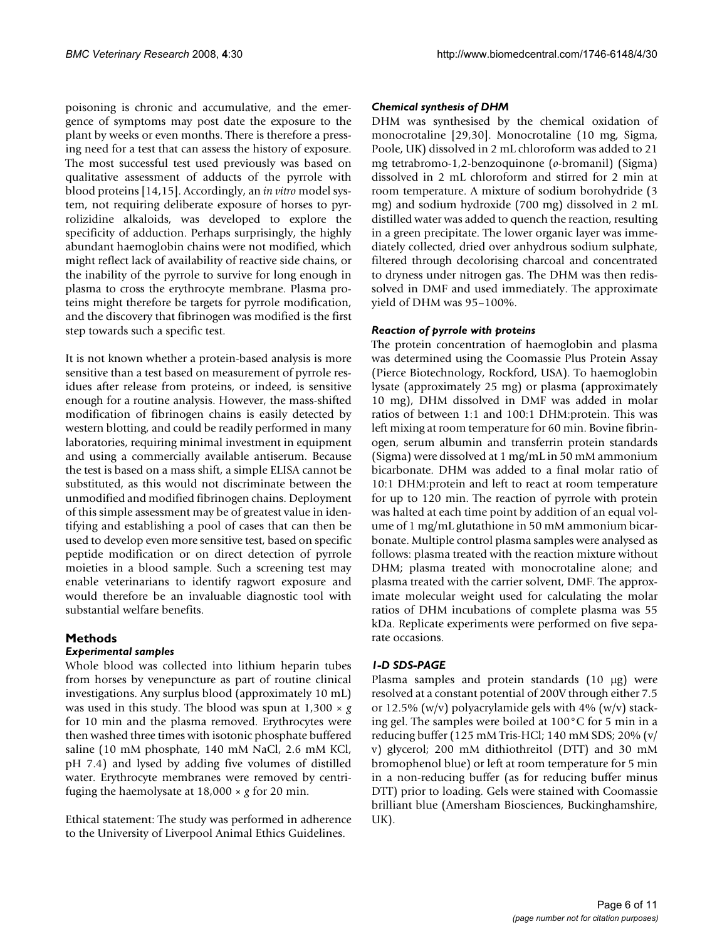poisoning is chronic and accumulative, and the emergence of symptoms may post date the exposure to the plant by weeks or even months. There is therefore a pressing need for a test that can assess the history of exposure. The most successful test used previously was based on qualitative assessment of adducts of the pyrrole with blood proteins [14,15]. Accordingly, an *in vitro* model system, not requiring deliberate exposure of horses to pyrrolizidine alkaloids, was developed to explore the specificity of adduction. Perhaps surprisingly, the highly abundant haemoglobin chains were not modified, which might reflect lack of availability of reactive side chains, or the inability of the pyrrole to survive for long enough in plasma to cross the erythrocyte membrane. Plasma proteins might therefore be targets for pyrrole modification, and the discovery that fibrinogen was modified is the first step towards such a specific test.

It is not known whether a protein-based analysis is more sensitive than a test based on measurement of pyrrole residues after release from proteins, or indeed, is sensitive enough for a routine analysis. However, the mass-shifted modification of fibrinogen chains is easily detected by western blotting, and could be readily performed in many laboratories, requiring minimal investment in equipment and using a commercially available antiserum. Because the test is based on a mass shift, a simple ELISA cannot be substituted, as this would not discriminate between the unmodified and modified fibrinogen chains. Deployment of this simple assessment may be of greatest value in identifying and establishing a pool of cases that can then be used to develop even more sensitive test, based on specific peptide modification or on direct detection of pyrrole moieties in a blood sample. Such a screening test may enable veterinarians to identify ragwort exposure and would therefore be an invaluable diagnostic tool with substantial welfare benefits.

#### **Methods**

#### *Experimental samples*

Whole blood was collected into lithium heparin tubes from horses by venepuncture as part of routine clinical investigations. Any surplus blood (approximately 10 mL) was used in this study. The blood was spun at 1,300 × *g* for 10 min and the plasma removed. Erythrocytes were then washed three times with isotonic phosphate buffered saline (10 mM phosphate, 140 mM NaCl, 2.6 mM KCl, pH 7.4) and lysed by adding five volumes of distilled water. Erythrocyte membranes were removed by centrifuging the haemolysate at 18,000 × *g* for 20 min.

Ethical statement: The study was performed in adherence to the University of Liverpool Animal Ethics Guidelines.

#### *Chemical synthesis of DHM*

DHM was synthesised by the chemical oxidation of monocrotaline [29,30]. Monocrotaline (10 mg, Sigma, Poole, UK) dissolved in 2 mL chloroform was added to 21 mg tetrabromo-1,2-benzoquinone (*o*-bromanil) (Sigma) dissolved in 2 mL chloroform and stirred for 2 min at room temperature. A mixture of sodium borohydride (3 mg) and sodium hydroxide (700 mg) dissolved in 2 mL distilled water was added to quench the reaction, resulting in a green precipitate. The lower organic layer was immediately collected, dried over anhydrous sodium sulphate, filtered through decolorising charcoal and concentrated to dryness under nitrogen gas. The DHM was then redissolved in DMF and used immediately. The approximate yield of DHM was 95–100%.

#### *Reaction of pyrrole with proteins*

The protein concentration of haemoglobin and plasma was determined using the Coomassie Plus Protein Assay (Pierce Biotechnology, Rockford, USA). To haemoglobin lysate (approximately 25 mg) or plasma (approximately 10 mg), DHM dissolved in DMF was added in molar ratios of between 1:1 and 100:1 DHM:protein. This was left mixing at room temperature for 60 min. Bovine fibrinogen, serum albumin and transferrin protein standards (Sigma) were dissolved at 1 mg/mL in 50 mM ammonium bicarbonate. DHM was added to a final molar ratio of 10:1 DHM:protein and left to react at room temperature for up to 120 min. The reaction of pyrrole with protein was halted at each time point by addition of an equal volume of 1 mg/mL glutathione in 50 mM ammonium bicarbonate. Multiple control plasma samples were analysed as follows: plasma treated with the reaction mixture without DHM; plasma treated with monocrotaline alone; and plasma treated with the carrier solvent, DMF. The approximate molecular weight used for calculating the molar ratios of DHM incubations of complete plasma was 55 kDa. Replicate experiments were performed on five separate occasions.

#### *1-D SDS-PAGE*

Plasma samples and protein standards (10 μg) were resolved at a constant potential of 200V through either 7.5 or 12.5% (w/v) polyacrylamide gels with 4% (w/v) stacking gel. The samples were boiled at 100°C for 5 min in a reducing buffer (125 mM Tris-HCl; 140 mM SDS; 20% (v/ v) glycerol; 200 mM dithiothreitol (DTT) and 30 mM bromophenol blue) or left at room temperature for 5 min in a non-reducing buffer (as for reducing buffer minus DTT) prior to loading. Gels were stained with Coomassie brilliant blue (Amersham Biosciences, Buckinghamshire, UK).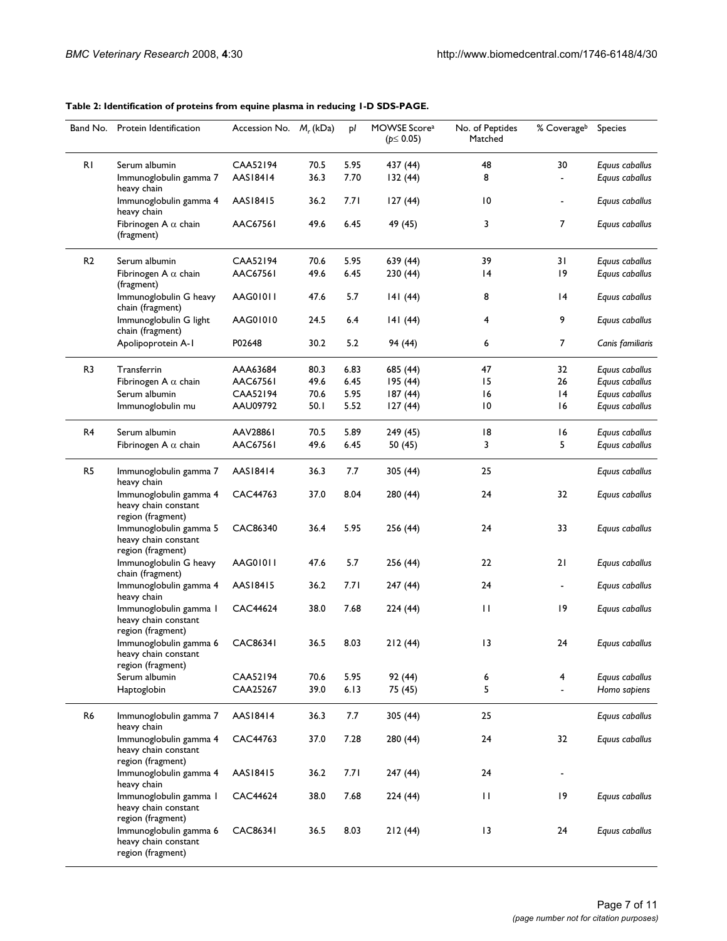**Table 2: Identification of proteins from equine plasma in reducing 1-D SDS-PAGE.** 

|                | Band No. Protein Identification                                     | Accession No. $M_r$ (kDa) |              | pl           | MOWSE Score <sup>a</sup><br>$(p \le 0.05)$ | No. of Peptides<br>Matched | % Coverageb          | <b>Species</b>                   |
|----------------|---------------------------------------------------------------------|---------------------------|--------------|--------------|--------------------------------------------|----------------------------|----------------------|----------------------------------|
| R <sub>1</sub> | Serum albumin<br>Immunoglobulin gamma 7<br>heavy chain              | CAA52194<br>AAS18414      | 70.5<br>36.3 | 5.95<br>7.70 | 437 (44)<br>132(44)                        | 48<br>8                    | 30<br>$\blacksquare$ | Equus caballus<br>Equus caballus |
|                | Immunoglobulin gamma 4<br>heavy chain                               | AAS18415                  | 36.2         | 7.71         | 127(44)                                    | 10                         |                      | Equus caballus                   |
|                | Fibrinogen A $\alpha$ chain<br>(fragment)                           | AAC67561                  | 49.6         | 6.45         | 49 (45)                                    | 3                          | 7                    | Equus caballus                   |
| R <sub>2</sub> | Serum albumin                                                       | <b>CAA52194</b>           | 70.6         | 5.95         | 639 (44)                                   | 39                         | 31                   | Equus caballus                   |
|                | Fibrinogen A $\alpha$ chain<br>(fragment)                           | AAC67561                  | 49.6         | 6.45         | 230 (44)                                   | 4                          | 9                    | Equus caballus                   |
|                | Immunoglobulin G heavy<br>chain (fragment)                          | AAG01011                  | 47.6         | 5.7          | 141(44)                                    | 8                          | 4                    | Equus caballus                   |
|                | Immunoglobulin G light<br>chain (fragment)                          | AAG01010                  | 24.5         | 6.4          | 141(44)                                    | 4                          | 9                    | Equus caballus                   |
|                | Apolipoprotein A-1                                                  | P02648                    | 30.2         | 5.2          | 94 (44)                                    | 6                          | 7                    | Canis familiaris                 |
| R3             | Transferrin                                                         | AAA63684                  | 80.3         | 6.83         | 685 (44)                                   | 47                         | 32                   | Equus caballus                   |
|                | Fibrinogen A $\alpha$ chain                                         | AAC67561                  | 49.6         | 6.45         | 195(44)                                    | 15                         | 26                   | Equus caballus                   |
|                | Serum albumin                                                       | CAA52194                  | 70.6         | 5.95         | 187(44)                                    | 16                         | 4                    | Equus caballus                   |
|                | Immunoglobulin mu                                                   | AAU09792                  | 50.I         | 5.52         | 127(44)                                    | 10                         | 16                   | Equus caballus                   |
| R4             | Serum albumin                                                       | AAV28861                  | 70.5         | 5.89         | 249 (45)                                   | 18                         | 16                   | Equus caballus                   |
|                | Fibrinogen A $\alpha$ chain                                         | <b>AAC67561</b>           | 49.6         | 6.45         | 50 (45)                                    | 3                          | 5                    | Equus caballus                   |
| R5             | Immunoglobulin gamma 7<br>heavy chain                               | AAS18414                  | 36.3         | 7.7          | 305 (44)                                   | 25                         |                      | Equus caballus                   |
|                | Immunoglobulin gamma 4<br>heavy chain constant<br>region (fragment) | CAC44763                  | 37.0         | 8.04         | 280 (44)                                   | 24                         | 32                   | Equus caballus                   |
|                | Immunoglobulin gamma 5<br>heavy chain constant                      | CAC86340                  | 36.4         | 5.95         | 256 (44)                                   | 24                         | 33                   | Equus caballus                   |
|                | region (fragment)<br>Immunoglobulin G heavy<br>chain (fragment)     | AAG01011                  | 47.6         | 5.7          | 256 (44)                                   | 22                         | 21                   | Equus caballus                   |
|                | Immunoglobulin gamma 4<br>heavy chain                               | AAS18415                  | 36.2         | 7.71         | 247(44)                                    | 24                         |                      | Equus caballus                   |
|                | Immunoglobulin gamma I<br>heavy chain constant<br>region (fragment) | CAC44624                  | 38.0         | 7.68         | 224 (44)                                   | П                          | 19                   | Equus caballus                   |
|                | Immunoglobulin gamma 6<br>heavy chain constant<br>region (fragment) | <b>CAC86341</b>           | 36.5         | 8.03         | 212(44)                                    | 13                         | 24                   | Equus caballus                   |
|                | Serum albumin                                                       | CAA52194                  | 70.6         | 5.95         | 92 (44)                                    | 6                          | 4                    | Equus caballus                   |
|                | Haptoglobin                                                         | CAA25267                  | 39.0         | 6.13         | 75 (45)                                    | 5                          |                      | Homo sapiens                     |
| R6             | Immunoglobulin gamma 7<br>heavy chain                               | AAS18414                  | 36.3         | 7.7          | 305 (44)                                   | 25                         |                      | Equus caballus                   |
|                | Immunoglobulin gamma 4<br>heavy chain constant<br>region (fragment) | CAC44763                  | 37.0         | 7.28         | 280 (44)                                   | 24                         | 32                   | Equus caballus                   |
|                | Immunoglobulin gamma 4<br>heavy chain                               | AAS18415                  | 36.2         | 7.71         | 247 (44)                                   | 24                         |                      |                                  |
|                | Immunoglobulin gamma 1<br>heavy chain constant<br>region (fragment) | CAC44624                  | 38.0         | 7.68         | 224 (44)                                   | П                          | 19                   | Equus caballus                   |
|                | Immunoglobulin gamma 6<br>heavy chain constant<br>region (fragment) | <b>CAC86341</b>           | 36.5         | 8.03         | 212(44)                                    | 13                         | 24                   | Equus caballus                   |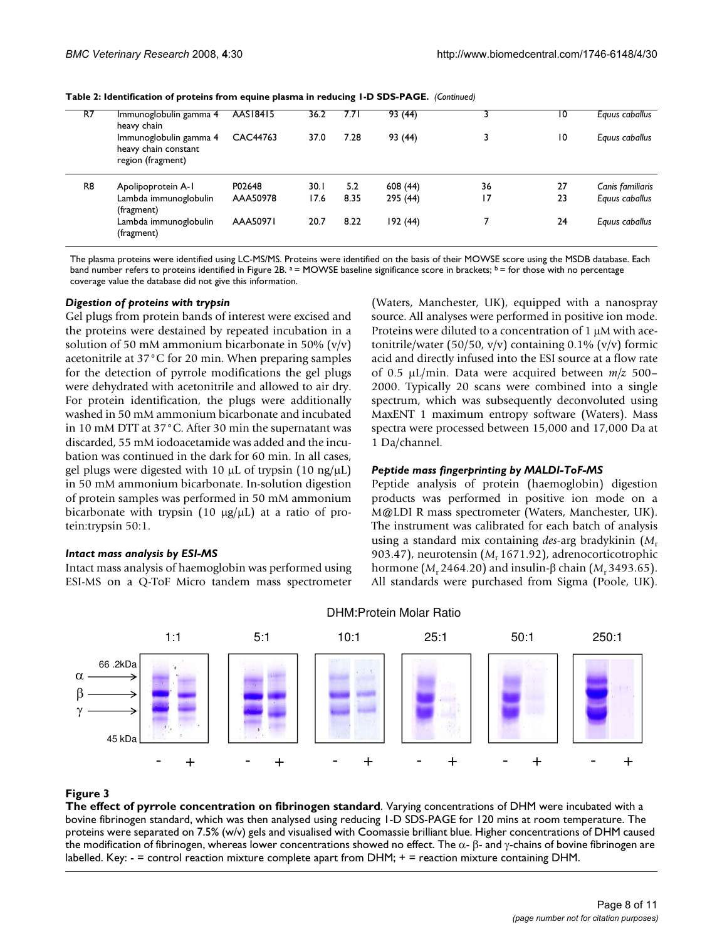| R7 |                | Immunoglobulin gamma 4<br>heavy chain                               | AAS18415 | 36.2 | 7.7 I | 93 (44)  |                 | 10 | Eguus caballus   |
|----|----------------|---------------------------------------------------------------------|----------|------|-------|----------|-----------------|----|------------------|
|    |                | Immunoglobulin gamma 4<br>heavy chain constant<br>region (fragment) | CAC44763 | 37.0 | 7.28  | 93 (44)  |                 | 10 | Eguus caballus   |
|    | R <sub>8</sub> | Apolipoprotein A-1                                                  | P02648   | 30.1 | 5.2   | 608(44)  | 36              | 27 | Canis familiaris |
|    |                | Lambda immunoglobulin<br>(fragment)                                 | AAA50978 | 17.6 | 8.35  | 295 (44) | $\overline{17}$ | 23 | Equus caballus   |
|    |                | Lambda immunoglobulin<br>(fragment)                                 | AAA50971 | 20.7 | 8.22  | 192(44)  |                 | 24 | Equus caballus   |
|    |                |                                                                     |          |      |       |          |                 |    |                  |

**Table 2: Identification of proteins from equine plasma in reducing 1-D SDS-PAGE.** *(Continued)*

The plasma proteins were identified using LC-MS/MS. Proteins were identified on the basis of their MOWSE score using the MSDB database. Each band number refers to proteins identified in Figure 2B.  $a =$  MOWSE baseline significance score in brackets;  $b =$  for those with no percentage coverage value the database did not give this information.

#### *Digestion of proteins with trypsin*

Gel plugs from protein bands of interest were excised and the proteins were destained by repeated incubation in a solution of 50 mM ammonium bicarbonate in 50%  $(v/v)$ acetonitrile at 37°C for 20 min. When preparing samples for the detection of pyrrole modifications the gel plugs were dehydrated with acetonitrile and allowed to air dry. For protein identification, the plugs were additionally washed in 50 mM ammonium bicarbonate and incubated in 10 mM DTT at 37°C. After 30 min the supernatant was discarded, 55 mM iodoacetamide was added and the incubation was continued in the dark for 60 min. In all cases, gel plugs were digested with 10  $\mu$ L of trypsin (10 ng/ $\mu$ L) in 50 mM ammonium bicarbonate. In-solution digestion of protein samples was performed in 50 mM ammonium bicarbonate with trypsin (10  $\mu$ g/ $\mu$ L) at a ratio of protein:trypsin 50:1.

#### *Intact mass analysis by ESI-MS*

Intact mass analysis of haemoglobin was performed using ESI-MS on a Q-ToF Micro tandem mass spectrometer (Waters, Manchester, UK), equipped with a nanospray source. All analyses were performed in positive ion mode. Proteins were diluted to a concentration of 1 μM with acetonitrile/water (50/50, v/v) containing 0.1% (v/v) formic acid and directly infused into the ESI source at a flow rate of 0.5 μL/min. Data were acquired between *m/z* 500– 2000. Typically 20 scans were combined into a single spectrum, which was subsequently deconvoluted using MaxENT 1 maximum entropy software (Waters). Mass spectra were processed between 15,000 and 17,000 Da at 1 Da/channel.

#### *Peptide mass fingerprinting by MALDI-ToF-MS*

Peptide analysis of protein (haemoglobin) digestion products was performed in positive ion mode on a M@LDI R mass spectrometer (Waters, Manchester, UK). The instrument was calibrated for each batch of analysis using a standard mix containing *des*-arg bradykinin (*M*<sup>r</sup> 903.47), neurotensin (M<sub>r</sub> 1671.92), adrenocorticotrophic hormone (*M*r 2464.20) and insulin-β chain (*M*r 3493.65). All standards were purchased from Sigma (Poole, UK).



#### DHM:Protein Molar Ratio

#### **Figure 3**

**The effect of pyrrole concentration on fibrinogen standard**. Varying concentrations of DHM were incubated with a bovine fibrinogen standard, which was then analysed using reducing 1-D SDS-PAGE for 120 mins at room temperature. The proteins were separated on 7.5% (w/v) gels and visualised with Coomassie brilliant blue. Higher concentrations of DHM caused the modification of fibrinogen, whereas lower concentrations showed no effect. The  $\alpha$ -  $\beta$ - and γ-chains of bovine fibrinogen are labelled. Key: - = control reaction mixture complete apart from DHM; + = reaction mixture containing DHM.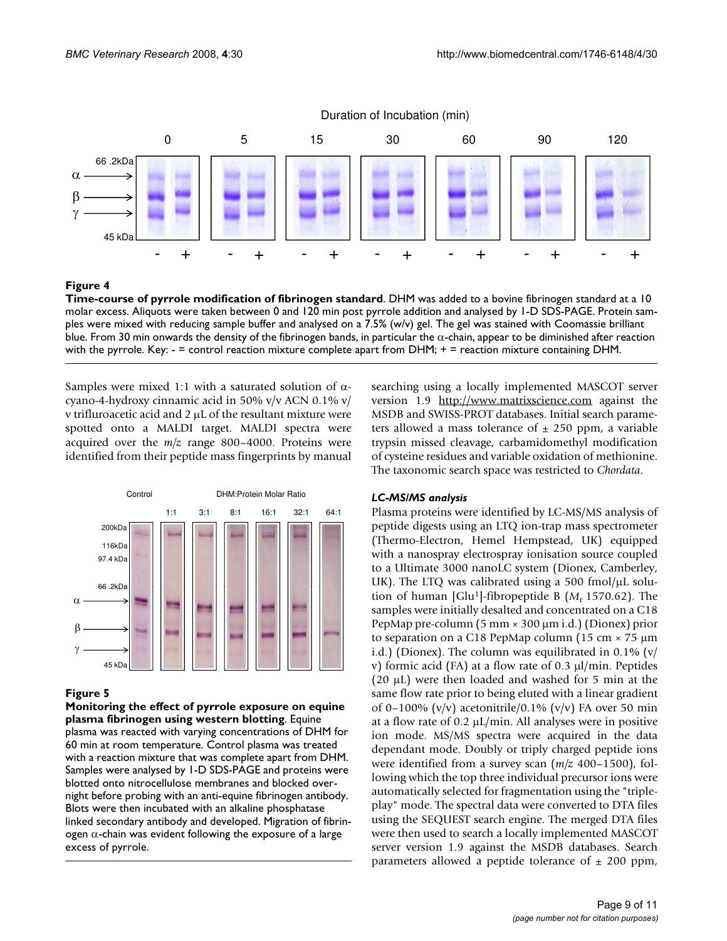

#### Figure 4

**Time-course of pyrrole modification of fibrinogen standard**. DHM was added to a bovine fibrinogen standard at a 10 molar excess. Aliquots were taken between 0 and 120 min post pyrrole addition and analysed by 1-D SDS-PAGE. Protein samples were mixed with reducing sample buffer and analysed on a 7.5% (w/v) gel. The gel was stained with Coomassie brilliant blue. From 30 min onwards the density of the fibrinogen bands, in particular the  $\alpha$ -chain, appear to be diminished after reaction with the pyrrole. Key: - = control reaction mixture complete apart from DHM; + = reaction mixture containing DHM.

Samples were mixed 1:1 with a saturated solution of  $\alpha$ cyano-4-hydroxy cinnamic acid in 50% v/v ACN 0.1% v/ v trifluroacetic acid and 2 μL of the resultant mixture were spotted onto a MALDI target. MALDI spectra were acquired over the *m/z* range 800–4000. Proteins were identified from their peptide mass fingerprints by manual



#### Figure 5

**Monitoring the effect of pyrrole exposure on equine plasma fibrinogen using western blotting**. Equine plasma was reacted with varying concentrations of DHM for 60 min at room temperature. Control plasma was treated with a reaction mixture that was complete apart from DHM. Samples were analysed by 1-D SDS-PAGE and proteins were blotted onto nitrocellulose membranes and blocked overnight before probing with an anti-equine fibrinogen antibody. Blots were then incubated with an alkaline phosphatase linked secondary antibody and developed. Migration of fibrinogen α-chain was evident following the exposure of a large excess of pyrrole.

searching using a locally implemented MASCOT server version 1.9 <http://www.matrixscience.com>against the MSDB and SWISS-PROT databases. Initial search parameters allowed a mass tolerance of  $\pm$  250 ppm, a variable trypsin missed cleavage, carbamidomethyl modification of cysteine residues and variable oxidation of methionine. The taxonomic search space was restricted to *Chordata*.

#### *LC-MS/MS analysis*

Plasma proteins were identified by LC-MS/MS analysis of peptide digests using an LTQ ion-trap mass spectrometer (Thermo-Electron, Hemel Hempstead, UK) equipped with a nanospray electrospray ionisation source coupled to a Ultimate 3000 nanoLC system (Dionex, Camberley, UK). The LTQ was calibrated using a 500 fmol/ $\mu$ L solution of human [Glu<sup>1</sup>]-fibropeptide B (M<sub>r</sub> 1570.62). The samples were initially desalted and concentrated on a C18 PepMap pre-column (5 mm  $\times$  300  $\mu$ m i.d.) (Dionex) prior to separation on a C18 PepMap column (15 cm × 75 μm i.d.) (Dionex). The column was equilibrated in  $0.1\%$  (v/ v) formic acid (FA) at a flow rate of 0.3 μl/min. Peptides (20 μL) were then loaded and washed for 5 min at the same flow rate prior to being eluted with a linear gradient of 0–100% (v/v) acetonitrile/0.1% (v/v) FA over 50 min at a flow rate of 0.2  $\mu$ L/min. All analyses were in positive ion mode. MS/MS spectra were acquired in the data dependant mode. Doubly or triply charged peptide ions were identified from a survey scan (*m/z* 400–1500), following which the top three individual precursor ions were automatically selected for fragmentation using the "tripleplay" mode. The spectral data were converted to DTA files using the SEQUEST search engine. The merged DTA files were then used to search a locally implemented MASCOT server version 1.9 against the MSDB databases. Search parameters allowed a peptide tolerance of  $\pm$  200 ppm,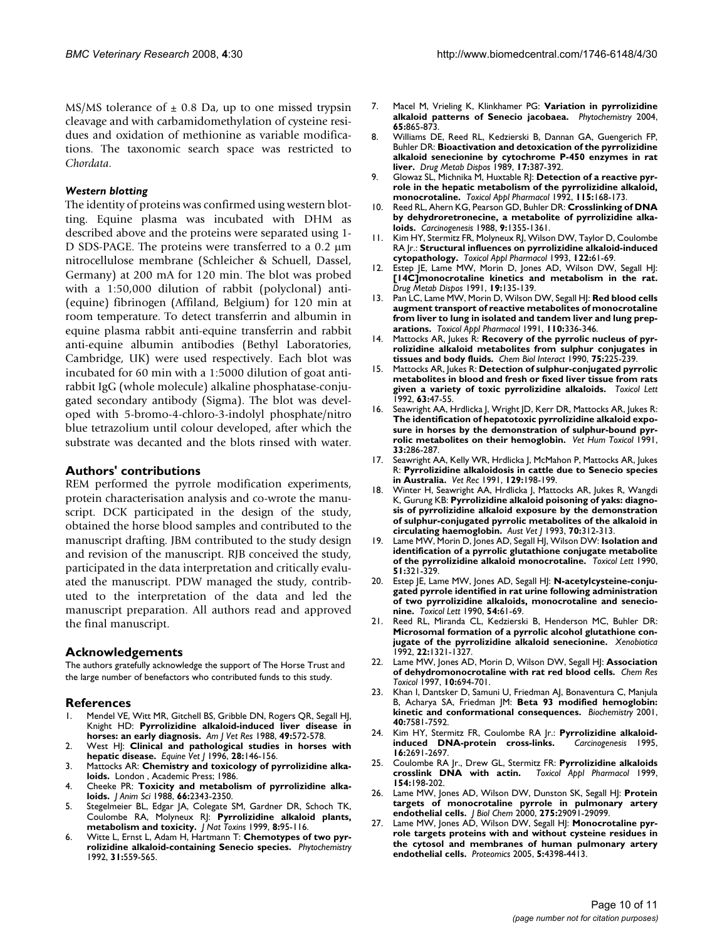MS/MS tolerance of  $\pm$  0.8 Da, up to one missed trypsin cleavage and with carbamidomethylation of cysteine residues and oxidation of methionine as variable modifications. The taxonomic search space was restricted to *Chordata*.

#### *Western blotting*

The identity of proteins was confirmed using western blotting. Equine plasma was incubated with DHM as described above and the proteins were separated using 1- D SDS-PAGE. The proteins were transferred to a 0.2 μm nitrocellulose membrane (Schleicher & Schuell, Dassel, Germany) at 200 mA for 120 min. The blot was probed with a 1:50,000 dilution of rabbit (polyclonal) anti- (equine) fibrinogen (Affiland, Belgium) for 120 min at room temperature. To detect transferrin and albumin in equine plasma rabbit anti-equine transferrin and rabbit anti-equine albumin antibodies (Bethyl Laboratories, Cambridge, UK) were used respectively. Each blot was incubated for 60 min with a 1:5000 dilution of goat antirabbit IgG (whole molecule) alkaline phosphatase-conjugated secondary antibody (Sigma). The blot was developed with 5-bromo-4-chloro-3-indolyl phosphate/nitro blue tetrazolium until colour developed, after which the substrate was decanted and the blots rinsed with water.

#### **Authors' contributions**

REM performed the pyrrole modification experiments, protein characterisation analysis and co-wrote the manuscript. DCK participated in the design of the study, obtained the horse blood samples and contributed to the manuscript drafting. JBM contributed to the study design and revision of the manuscript. RJB conceived the study, participated in the data interpretation and critically evaluated the manuscript. PDW managed the study, contributed to the interpretation of the data and led the manuscript preparation. All authors read and approved the final manuscript.

#### **Acknowledgements**

The authors gratefully acknowledge the support of The Horse Trust and the large number of benefactors who contributed funds to this study.

#### **References**

- 1. Mendel VE, Witt MR, Gitchell BS, Gribble DN, Rogers QR, Segall HJ, Knight HD: **[Pyrrolizidine alkaloid-induced liver disease in](http://www.ncbi.nlm.nih.gov/entrez/query.fcgi?cmd=Retrieve&db=PubMed&dopt=Abstract&list_uids=3377320) [horses: an early diagnosis.](http://www.ncbi.nlm.nih.gov/entrez/query.fcgi?cmd=Retrieve&db=PubMed&dopt=Abstract&list_uids=3377320)** *Am J Vet Res* 1988, **49:**572-578.
- 2. West HJ: **[Clinical and pathological studies in horses with](http://www.ncbi.nlm.nih.gov/entrez/query.fcgi?cmd=Retrieve&db=PubMed&dopt=Abstract&list_uids=8706647) [hepatic disease.](http://www.ncbi.nlm.nih.gov/entrez/query.fcgi?cmd=Retrieve&db=PubMed&dopt=Abstract&list_uids=8706647)** *Equine Vet J* 1996, **28:**146-156.
- 3. Mattocks AR: **[Chemistry and toxicology of pyrrolizidine alka](http://www.ncbi.nlm.nih.gov/entrez/query.fcgi?cmd=Retrieve&db=PubMed&dopt=Abstract&list_uids=3708724)[loids.](http://www.ncbi.nlm.nih.gov/entrez/query.fcgi?cmd=Retrieve&db=PubMed&dopt=Abstract&list_uids=3708724)** London , Academic Press; 1986.
- 4. Cheeke PR: **[Toxicity and metabolism of pyrrolizidine alka](http://www.ncbi.nlm.nih.gov/entrez/query.fcgi?cmd=Retrieve&db=PubMed&dopt=Abstract&list_uids=3049495)[loids.](http://www.ncbi.nlm.nih.gov/entrez/query.fcgi?cmd=Retrieve&db=PubMed&dopt=Abstract&list_uids=3049495)** *J Anim Sci* 1988, **66:**2343-2350.
- 5. Stegelmeier BL, Edgar JA, Colegate SM, Gardner DR, Schoch TK, Coulombe RA, Molyneux RJ: **[Pyrrolizidine alkaloid plants,](http://www.ncbi.nlm.nih.gov/entrez/query.fcgi?cmd=Retrieve&db=PubMed&dopt=Abstract&list_uids=10091131) [metabolism and toxicity.](http://www.ncbi.nlm.nih.gov/entrez/query.fcgi?cmd=Retrieve&db=PubMed&dopt=Abstract&list_uids=10091131)** *J Nat Toxins* 1999, **8:**95-116.
- 6. Witte L, Ernst L, Adam H, Hartmann T: **Chemotypes of two pyrrolizidine alkaloid-containing Senecio species.** *Phytochemistry* 1992, **31:**559-565.
- 7. Macel M, Vrieling K, Klinkhamer PG: **[Variation in pyrrolizidine](http://www.ncbi.nlm.nih.gov/entrez/query.fcgi?cmd=Retrieve&db=PubMed&dopt=Abstract&list_uids=15081286) [alkaloid patterns of Senecio jacobaea.](http://www.ncbi.nlm.nih.gov/entrez/query.fcgi?cmd=Retrieve&db=PubMed&dopt=Abstract&list_uids=15081286)** *Phytochemistry* 2004, **65:**865-873.
- 8. Williams DE, Reed RL, Kedzierski B, Dannan GA, Guengerich FP, Buhler DR: **[Bioactivation and detoxication of the pyrrolizidine](http://www.ncbi.nlm.nih.gov/entrez/query.fcgi?cmd=Retrieve&db=PubMed&dopt=Abstract&list_uids=2571477) [alkaloid senecionine by cytochrome P-450 enzymes in rat](http://www.ncbi.nlm.nih.gov/entrez/query.fcgi?cmd=Retrieve&db=PubMed&dopt=Abstract&list_uids=2571477) [liver.](http://www.ncbi.nlm.nih.gov/entrez/query.fcgi?cmd=Retrieve&db=PubMed&dopt=Abstract&list_uids=2571477)** *Drug Metab Dispos* 1989, **17:**387-392.
- 9. Glowaz SL, Michnika M, Huxtable RJ: **[Detection of a reactive pyr](http://www.ncbi.nlm.nih.gov/entrez/query.fcgi?cmd=Retrieve&db=PubMed&dopt=Abstract&list_uids=1641851)[role in the hepatic metabolism of the pyrrolizidine alkaloid,](http://www.ncbi.nlm.nih.gov/entrez/query.fcgi?cmd=Retrieve&db=PubMed&dopt=Abstract&list_uids=1641851) [monocrotaline.](http://www.ncbi.nlm.nih.gov/entrez/query.fcgi?cmd=Retrieve&db=PubMed&dopt=Abstract&list_uids=1641851)** *Toxicol Appl Pharmacol* 1992, **115:**168-173.
- 10. Reed RL, Ahern KG, Pearson GD, Buhler DR: **[Crosslinking of DNA](http://www.ncbi.nlm.nih.gov/entrez/query.fcgi?cmd=Retrieve&db=PubMed&dopt=Abstract&list_uids=3402032) [by dehydroretronecine, a metabolite of pyrrolizidine alka](http://www.ncbi.nlm.nih.gov/entrez/query.fcgi?cmd=Retrieve&db=PubMed&dopt=Abstract&list_uids=3402032)[loids.](http://www.ncbi.nlm.nih.gov/entrez/query.fcgi?cmd=Retrieve&db=PubMed&dopt=Abstract&list_uids=3402032)** *Carcinogenesis* 1988, **9:**1355-1361.
- 11. Kim HY, Stermitz FR, Molyneux RJ, Wilson DW, Taylor D, Coulombe RA Jr.: **[Structural influences on pyrrolizidine alkaloid-induced](http://www.ncbi.nlm.nih.gov/entrez/query.fcgi?cmd=Retrieve&db=PubMed&dopt=Abstract&list_uids=8378933) [cytopathology.](http://www.ncbi.nlm.nih.gov/entrez/query.fcgi?cmd=Retrieve&db=PubMed&dopt=Abstract&list_uids=8378933)** *Toxicol Appl Pharmacol* 1993, **122:**61-69.
- 12. Estep JE, Lame MW, Morin D, Jones AD, Wilson DW, Segall HJ: **[\[14C\]monocrotaline kinetics and metabolism in the rat.](http://www.ncbi.nlm.nih.gov/entrez/query.fcgi?cmd=Retrieve&db=PubMed&dopt=Abstract&list_uids=1673386)** *Drug Metab Dispos* 1991, **19:**135-139.
- 13. Pan LC, Lame MW, Morin D, Wilson DW, Segall HJ: **[Red blood cells](http://www.ncbi.nlm.nih.gov/entrez/query.fcgi?cmd=Retrieve&db=PubMed&dopt=Abstract&list_uids=1909819) [augment transport of reactive metabolites of monocrotaline](http://www.ncbi.nlm.nih.gov/entrez/query.fcgi?cmd=Retrieve&db=PubMed&dopt=Abstract&list_uids=1909819) from liver to lung in isolated and tandem liver and lung prep[arations.](http://www.ncbi.nlm.nih.gov/entrez/query.fcgi?cmd=Retrieve&db=PubMed&dopt=Abstract&list_uids=1909819)** *Toxicol Appl Pharmacol* 1991, **110:**336-346.
- 14. Mattocks AR, Jukes R: [Recovery of the pyrrolic nucleus of pyr](http://www.ncbi.nlm.nih.gov/entrez/query.fcgi?cmd=Retrieve&db=PubMed&dopt=Abstract&list_uids=2369787)**[rolizidine alkaloid metabolites from sulphur conjugates in](http://www.ncbi.nlm.nih.gov/entrez/query.fcgi?cmd=Retrieve&db=PubMed&dopt=Abstract&list_uids=2369787) [tissues and body fluids.](http://www.ncbi.nlm.nih.gov/entrez/query.fcgi?cmd=Retrieve&db=PubMed&dopt=Abstract&list_uids=2369787)** *Chem Biol Interact* 1990, **75:**225-239.
- 15. Mattocks AR, Jukes R: **[Detection of sulphur-conjugated pyrrolic](http://www.ncbi.nlm.nih.gov/entrez/query.fcgi?cmd=Retrieve&db=PubMed&dopt=Abstract&list_uids=1412522) [metabolites in blood and fresh or fixed liver tissue from rats](http://www.ncbi.nlm.nih.gov/entrez/query.fcgi?cmd=Retrieve&db=PubMed&dopt=Abstract&list_uids=1412522) [given a variety of toxic pyrrolizidine alkaloids.](http://www.ncbi.nlm.nih.gov/entrez/query.fcgi?cmd=Retrieve&db=PubMed&dopt=Abstract&list_uids=1412522)** *Toxicol Lett* 1992, **63:**47-55.
- Seawright AA, Hrdlicka J, Wright JD, Kerr DR, Mattocks AR, Jukes R: **[The identification of hepatotoxic pyrrolizidine alkaloid expo](http://www.ncbi.nlm.nih.gov/entrez/query.fcgi?cmd=Retrieve&db=PubMed&dopt=Abstract&list_uids=1858316)**sure in horses by the demonstration of sulphur-bound pyr**[rolic metabolites on their hemoglobin.](http://www.ncbi.nlm.nih.gov/entrez/query.fcgi?cmd=Retrieve&db=PubMed&dopt=Abstract&list_uids=1858316)** *Vet Hum Toxicol* 1991, **33:**286-287.
- 17. Seawright AA, Kelly WR, Hrdlicka J, McMahon P, Mattocks AR, Jukes R: **[Pyrrolizidine alkaloidosis in cattle due to Senecio species](http://www.ncbi.nlm.nih.gov/entrez/query.fcgi?cmd=Retrieve&db=PubMed&dopt=Abstract&list_uids=1957473) [in Australia.](http://www.ncbi.nlm.nih.gov/entrez/query.fcgi?cmd=Retrieve&db=PubMed&dopt=Abstract&list_uids=1957473)** *Vet Rec* 1991, **129:**198-199.
- 18. Winter H, Seawright AA, Hrdlicka J, Mattocks AR, Jukes R, Wangdi K, Gurung KB: **[Pyrrolizidine alkaloid poisoning of yaks: diagno](http://www.ncbi.nlm.nih.gov/entrez/query.fcgi?cmd=Retrieve&db=PubMed&dopt=Abstract&list_uids=8216101)[sis of pyrrolizidine alkaloid exposure by the demonstration](http://www.ncbi.nlm.nih.gov/entrez/query.fcgi?cmd=Retrieve&db=PubMed&dopt=Abstract&list_uids=8216101) of sulphur-conjugated pyrrolic metabolites of the alkaloid in [circulating haemoglobin.](http://www.ncbi.nlm.nih.gov/entrez/query.fcgi?cmd=Retrieve&db=PubMed&dopt=Abstract&list_uids=8216101)** *Aust Vet J* 1993, **70:**312-313.
- 19. Lame MW, Morin D, Jones AD, Segall HJ, Wilson DW: **[Isolation and](http://www.ncbi.nlm.nih.gov/entrez/query.fcgi?cmd=Retrieve&db=PubMed&dopt=Abstract&list_uids=2111054) [identification of a pyrrolic glutathione conjugate metabolite](http://www.ncbi.nlm.nih.gov/entrez/query.fcgi?cmd=Retrieve&db=PubMed&dopt=Abstract&list_uids=2111054) [of the pyrrolizidine alkaloid monocrotaline.](http://www.ncbi.nlm.nih.gov/entrez/query.fcgi?cmd=Retrieve&db=PubMed&dopt=Abstract&list_uids=2111054)** *Toxicol Lett* 1990, **51:**321-329.
- 20. Estep JE, Lame MW, Jones AD, Segall HJ: **[N-acetylcysteine-conju](http://www.ncbi.nlm.nih.gov/entrez/query.fcgi?cmd=Retrieve&db=PubMed&dopt=Abstract&list_uids=2123045)[gated pyrrole identified in rat urine following administration](http://www.ncbi.nlm.nih.gov/entrez/query.fcgi?cmd=Retrieve&db=PubMed&dopt=Abstract&list_uids=2123045) of two pyrrolizidine alkaloids, monocrotaline and senecio[nine.](http://www.ncbi.nlm.nih.gov/entrez/query.fcgi?cmd=Retrieve&db=PubMed&dopt=Abstract&list_uids=2123045)** *Toxicol Lett* 1990, **54:**61-69.
- 21. Reed RL, Miranda CL, Kedzierski B, Henderson MC, Buhler DR: **[Microsomal formation of a pyrrolic alcohol glutathione con](http://www.ncbi.nlm.nih.gov/entrez/query.fcgi?cmd=Retrieve&db=PubMed&dopt=Abstract&list_uids=1492424)[jugate of the pyrrolizidine alkaloid senecionine.](http://www.ncbi.nlm.nih.gov/entrez/query.fcgi?cmd=Retrieve&db=PubMed&dopt=Abstract&list_uids=1492424)** *Xenobiotica* 1992, **22:**1321-1327.
- 22. Lame MW, Jones AD, Morin D, Wilson DW, Segall HJ: **[Association](http://www.ncbi.nlm.nih.gov/entrez/query.fcgi?cmd=Retrieve&db=PubMed&dopt=Abstract&list_uids=9208177) [of dehydromonocrotaline with rat red blood cells.](http://www.ncbi.nlm.nih.gov/entrez/query.fcgi?cmd=Retrieve&db=PubMed&dopt=Abstract&list_uids=9208177)** *Chem Res Toxicol* 1997, **10:**694-701.
- 23. Khan I, Dantsker D, Samuni U, Friedman AJ, Bonaventura C, Manjula B, Acharya SA, Friedman JM: **[Beta 93 modified hemoglobin:](http://www.ncbi.nlm.nih.gov/entrez/query.fcgi?cmd=Retrieve&db=PubMed&dopt=Abstract&list_uids=11412112) [kinetic and conformational consequences.](http://www.ncbi.nlm.nih.gov/entrez/query.fcgi?cmd=Retrieve&db=PubMed&dopt=Abstract&list_uids=11412112)** *Biochemistry* 2001, **40:**7581-7592.
- Kim HY, Stermitz FR, Coulombe RA Jr.: **Pyrrolizidine alkaloid-**<br> **induced DNA-protein cross-links.** *Carcinogenesis* 1995, induced **DNA-protein** cross-links. **16:**2691-2697.
- 25. Coulombe RA Jr., Drew GL, Stermitz FR: **[Pyrrolizidine alkaloids](http://www.ncbi.nlm.nih.gov/entrez/query.fcgi?cmd=Retrieve&db=PubMed&dopt=Abstract&list_uids=9925804)** crosslink **DNA** with actin. **154:**198-202.
- 26. Lame MW, Jones AD, Wilson DW, Dunston SK, Segall HJ: **[Protein](http://www.ncbi.nlm.nih.gov/entrez/query.fcgi?cmd=Retrieve&db=PubMed&dopt=Abstract&list_uids=10875930) [targets of monocrotaline pyrrole in pulmonary artery](http://www.ncbi.nlm.nih.gov/entrez/query.fcgi?cmd=Retrieve&db=PubMed&dopt=Abstract&list_uids=10875930) [endothelial cells.](http://www.ncbi.nlm.nih.gov/entrez/query.fcgi?cmd=Retrieve&db=PubMed&dopt=Abstract&list_uids=10875930)** *J Biol Chem* 2000, **275:**29091-29099.
- 27. Lame MW, Jones AD, Wilson DW, Segall HJ: **[Monocrotaline pyr](http://www.ncbi.nlm.nih.gov/entrez/query.fcgi?cmd=Retrieve&db=PubMed&dopt=Abstract&list_uids=16222722)[role targets proteins with and without cysteine residues in](http://www.ncbi.nlm.nih.gov/entrez/query.fcgi?cmd=Retrieve&db=PubMed&dopt=Abstract&list_uids=16222722) the cytosol and membranes of human pulmonary artery [endothelial cells.](http://www.ncbi.nlm.nih.gov/entrez/query.fcgi?cmd=Retrieve&db=PubMed&dopt=Abstract&list_uids=16222722)** *Proteomics* 2005, **5:**4398-4413.